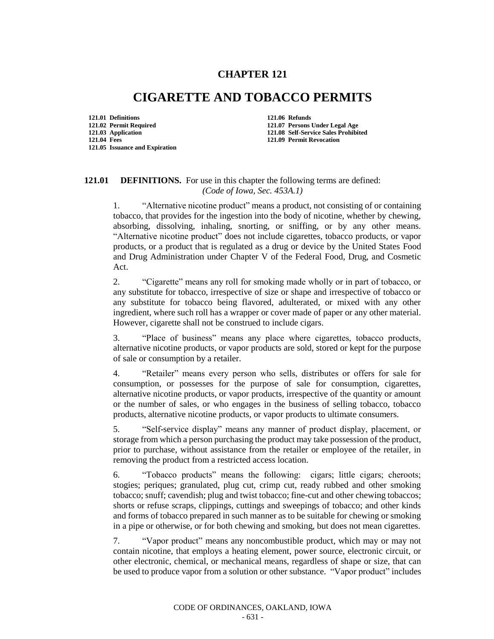## **CHAPTER 121**

## **CIGARETTE AND TOBACCO PERMITS**

**121.01 Definitions 121.06 Refunds 121.04 Fees 121.09 Permit Revocation 121.05 Issuance and Expiration**

**121.02 Permit Required 121.07 Persons Under Legal Age 121.08 Self-Service Sales Prohibited** 

## **121.01 DEFINITIONS.** For use in this chapter the following terms are defined: *(Code of Iowa, Sec. 453A.1)*

1. "Alternative nicotine product" means a product, not consisting of or containing tobacco, that provides for the ingestion into the body of nicotine, whether by chewing, absorbing, dissolving, inhaling, snorting, or sniffing, or by any other means. "Alternative nicotine product" does not include cigarettes, tobacco products, or vapor products, or a product that is regulated as a drug or device by the United States Food and Drug Administration under Chapter V of the Federal Food, Drug, and Cosmetic Act.

2. "Cigarette" means any roll for smoking made wholly or in part of tobacco, or any substitute for tobacco, irrespective of size or shape and irrespective of tobacco or any substitute for tobacco being flavored, adulterated, or mixed with any other ingredient, where such roll has a wrapper or cover made of paper or any other material. However, cigarette shall not be construed to include cigars.

3. "Place of business" means any place where cigarettes, tobacco products, alternative nicotine products, or vapor products are sold, stored or kept for the purpose of sale or consumption by a retailer.

4. "Retailer" means every person who sells, distributes or offers for sale for consumption, or possesses for the purpose of sale for consumption, cigarettes, alternative nicotine products, or vapor products, irrespective of the quantity or amount or the number of sales, or who engages in the business of selling tobacco, tobacco products, alternative nicotine products, or vapor products to ultimate consumers.

5. "Self-service display" means any manner of product display, placement, or storage from which a person purchasing the product may take possession of the product, prior to purchase, without assistance from the retailer or employee of the retailer, in removing the product from a restricted access location.

6. "Tobacco products" means the following: cigars; little cigars; cheroots; stogies; periques; granulated, plug cut, crimp cut, ready rubbed and other smoking tobacco; snuff; cavendish; plug and twist tobacco; fine-cut and other chewing tobaccos; shorts or refuse scraps, clippings, cuttings and sweepings of tobacco; and other kinds and forms of tobacco prepared in such manner as to be suitable for chewing or smoking in a pipe or otherwise, or for both chewing and smoking, but does not mean cigarettes.

7. "Vapor product" means any noncombustible product, which may or may not contain nicotine, that employs a heating element, power source, electronic circuit, or other electronic, chemical, or mechanical means, regardless of shape or size, that can be used to produce vapor from a solution or other substance. "Vapor product" includes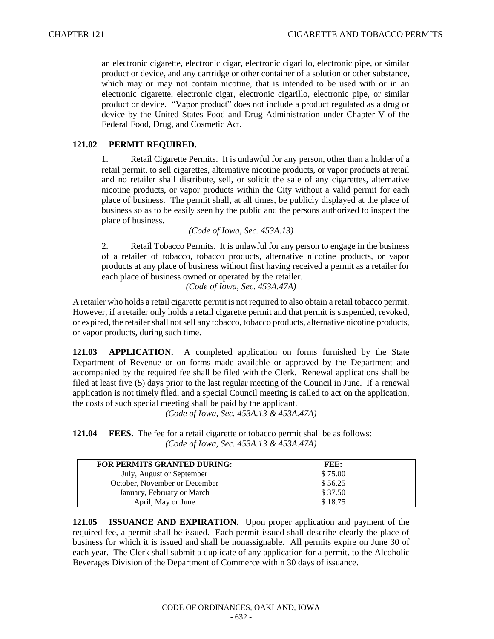an electronic cigarette, electronic cigar, electronic cigarillo, electronic pipe, or similar product or device, and any cartridge or other container of a solution or other substance, which may or may not contain nicotine, that is intended to be used with or in an electronic cigarette, electronic cigar, electronic cigarillo, electronic pipe, or similar product or device. "Vapor product" does not include a product regulated as a drug or device by the United States Food and Drug Administration under Chapter V of the Federal Food, Drug, and Cosmetic Act.

## **121.02 PERMIT REQUIRED.**

1. Retail Cigarette Permits. It is unlawful for any person, other than a holder of a retail permit, to sell cigarettes, alternative nicotine products, or vapor products at retail and no retailer shall distribute, sell, or solicit the sale of any cigarettes, alternative nicotine products, or vapor products within the City without a valid permit for each place of business. The permit shall, at all times, be publicly displayed at the place of business so as to be easily seen by the public and the persons authorized to inspect the place of business.

*(Code of Iowa, Sec. 453A.13)*

2. Retail Tobacco Permits. It is unlawful for any person to engage in the business of a retailer of tobacco, tobacco products, alternative nicotine products, or vapor products at any place of business without first having received a permit as a retailer for each place of business owned or operated by the retailer.

*(Code of Iowa, Sec. 453A.47A)*

A retailer who holds a retail cigarette permit is not required to also obtain a retail tobacco permit. However, if a retailer only holds a retail cigarette permit and that permit is suspended, revoked, or expired, the retailer shall not sell any tobacco, tobacco products, alternative nicotine products, or vapor products, during such time.

**121.03 APPLICATION.** A completed application on forms furnished by the State Department of Revenue or on forms made available or approved by the Department and accompanied by the required fee shall be filed with the Clerk. Renewal applications shall be filed at least five (5) days prior to the last regular meeting of the Council in June. If a renewal application is not timely filed, and a special Council meeting is called to act on the application, the costs of such special meeting shall be paid by the applicant.

*(Code of Iowa, Sec. 453A.13 & 453A.47A)*

|  | <b>121.04</b> FEES. The fee for a retail cigarette or tobacco permit shall be as follows: |
|--|-------------------------------------------------------------------------------------------|
|  | (Code of Iowa, Sec. 453A.13 & 453A.47A)                                                   |

| <b>FOR PERMITS GRANTED DURING:</b> | FEE:    |
|------------------------------------|---------|
| July, August or September          | \$75.00 |
| October, November or December      | \$56.25 |
| January, February or March         | \$37.50 |
| April, May or June                 | \$18.75 |

**121.05 ISSUANCE AND EXPIRATION.** Upon proper application and payment of the required fee, a permit shall be issued. Each permit issued shall describe clearly the place of business for which it is issued and shall be nonassignable. All permits expire on June 30 of each year. The Clerk shall submit a duplicate of any application for a permit, to the Alcoholic Beverages Division of the Department of Commerce within 30 days of issuance.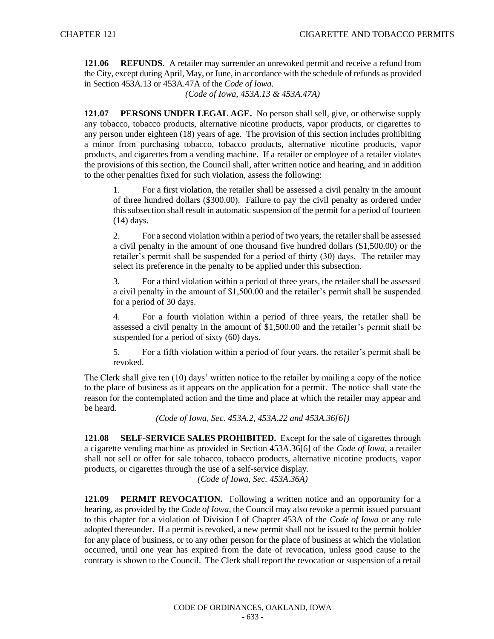**121.06 REFUNDS.** A retailer may surrender an unrevoked permit and receive a refund from the City, except during April, May, or June, in accordance with the schedule of refunds as provided in Section 453A.13 or 453A.47A of the *Code of Iowa*.

*(Code of Iowa, 453A.13 & 453A.47A)*

**121.07 PERSONS UNDER LEGAL AGE.** No person shall sell, give, or otherwise supply any tobacco, tobacco products, alternative nicotine products, vapor products, or cigarettes to any person under eighteen (18) years of age. The provision of this section includes prohibiting a minor from purchasing tobacco, tobacco products, alternative nicotine products, vapor products, and cigarettes from a vending machine. If a retailer or employee of a retailer violates the provisions of this section, the Council shall, after written notice and hearing, and in addition to the other penalties fixed for such violation, assess the following:

1. For a first violation, the retailer shall be assessed a civil penalty in the amount of three hundred dollars (\$300.00). Failure to pay the civil penalty as ordered under this subsection shall result in automatic suspension of the permit for a period of fourteen (14) days.

2. For a second violation within a period of two years, the retailer shall be assessed a civil penalty in the amount of one thousand five hundred dollars (\$1,500.00) or the retailer's permit shall be suspended for a period of thirty (30) days. The retailer may select its preference in the penalty to be applied under this subsection.

3. For a third violation within a period of three years, the retailer shall be assessed a civil penalty in the amount of \$1,500.00 and the retailer's permit shall be suspended for a period of 30 days.

4. For a fourth violation within a period of three years, the retailer shall be assessed a civil penalty in the amount of \$1,500.00 and the retailer's permit shall be suspended for a period of sixty (60) days.

5. For a fifth violation within a period of four years, the retailer's permit shall be revoked.

The Clerk shall give ten (10) days' written notice to the retailer by mailing a copy of the notice to the place of business as it appears on the application for a permit. The notice shall state the reason for the contemplated action and the time and place at which the retailer may appear and be heard.

*(Code of Iowa, Sec. 453A.2, 453A.22 and 453A.36[6])*

**121.08 SELF-SERVICE SALES PROHIBITED.** Except for the sale of cigarettes through a cigarette vending machine as provided in Section 453A.36[6] of the *Code of Iowa*, a retailer shall not sell or offer for sale tobacco, tobacco products, alternative nicotine products, vapor products, or cigarettes through the use of a self-service display.

*(Code of Iowa, Sec. 453A.36A)*

**121.09 PERMIT REVOCATION.** Following a written notice and an opportunity for a hearing, as provided by the *Code of Iowa*, the Council may also revoke a permit issued pursuant to this chapter for a violation of Division I of Chapter 453A of the *Code of Iowa* or any rule adopted thereunder. If a permit is revoked, a new permit shall not be issued to the permit holder for any place of business, or to any other person for the place of business at which the violation occurred, until one year has expired from the date of revocation, unless good cause to the contrary is shown to the Council. The Clerk shall report the revocation or suspension of a retail